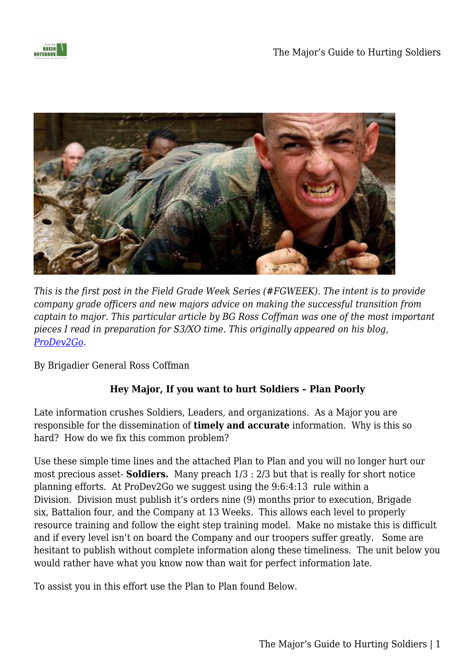



*This is the first post in the Field Grade Week Series (#FGWEEK). The intent is to provide company grade officers and new majors advice on making the successful transition from captain to major. This particular article by BG Ross Coffman was one of the most important pieces I read in preparation for S3/XO time. This originally appeared on his blog, [ProDev2Go.](http://wwww.prodev2go.wordpress.com)* 

By Brigadier General Ross Coffman

## **Hey Major, If you want to hurt Soldiers – Plan Poorly**

Late information crushes Soldiers, Leaders, and organizations. As a Major you are responsible for the dissemination of **timely and accurate** information. Why is this so hard? How do we fix this common problem?

Use these simple time lines and the attached Plan to Plan and you will no longer hurt our most precious asset- **Soldiers.** Many preach 1/3 : 2/3 but that is really for short notice planning efforts. At ProDev2Go we suggest using the 9:6:4:13 rule within a Division. Division must publish it's orders nine (9) months prior to execution, Brigade six, Battalion four, and the Company at 13 Weeks. This allows each level to properly resource training and follow the eight step training model. Make no mistake this is difficult and if every level isn't on board the Company and our troopers suffer greatly. Some are hesitant to publish without complete information along these timeliness. The unit below you would rather have what you know now than wait for perfect information late.

To assist you in this effort use the Plan to Plan found Below.